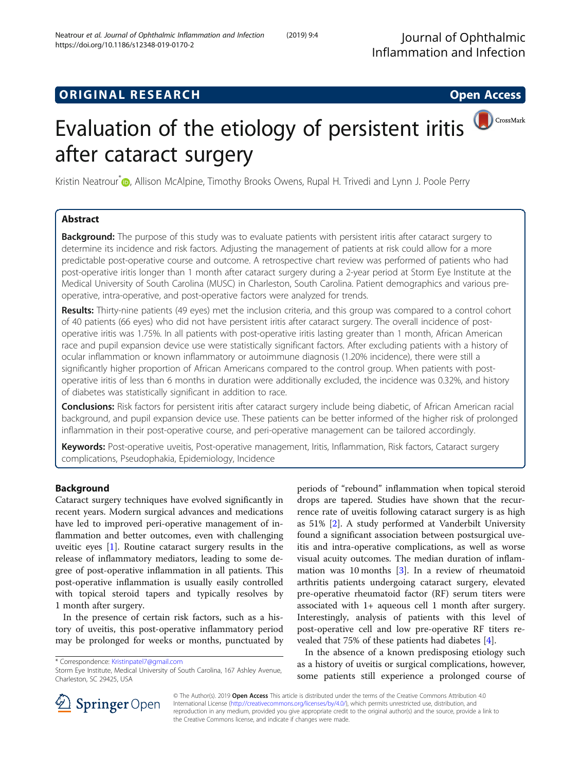## **ORIGINAL RESEARCH CONSUMING ACCESS**

# CrossMark Evaluation of the etiology of persistent iritis after cataract surgery

Kristin Neatrour<sup>[\\*](http://orcid.org/0000-0003-2238-4319)</sup> D, Allison McAlpine, Timothy Brooks Owens, Rupal H. Trivedi and Lynn J. Poole Perry

## Abstract

Background: The purpose of this study was to evaluate patients with persistent iritis after cataract surgery to determine its incidence and risk factors. Adjusting the management of patients at risk could allow for a more predictable post-operative course and outcome. A retrospective chart review was performed of patients who had post-operative iritis longer than 1 month after cataract surgery during a 2-year period at Storm Eye Institute at the Medical University of South Carolina (MUSC) in Charleston, South Carolina. Patient demographics and various preoperative, intra-operative, and post-operative factors were analyzed for trends.

Results: Thirty-nine patients (49 eyes) met the inclusion criteria, and this group was compared to a control cohort of 40 patients (66 eyes) who did not have persistent iritis after cataract surgery. The overall incidence of postoperative iritis was 1.75%. In all patients with post-operative iritis lasting greater than 1 month, African American race and pupil expansion device use were statistically significant factors. After excluding patients with a history of ocular inflammation or known inflammatory or autoimmune diagnosis (1.20% incidence), there were still a significantly higher proportion of African Americans compared to the control group. When patients with postoperative iritis of less than 6 months in duration were additionally excluded, the incidence was 0.32%, and history of diabetes was statistically significant in addition to race.

Conclusions: Risk factors for persistent iritis after cataract surgery include being diabetic, of African American racial background, and pupil expansion device use. These patients can be better informed of the higher risk of prolonged inflammation in their post-operative course, and peri-operative management can be tailored accordingly.

Keywords: Post-operative uveitis, Post-operative management, Iritis, Inflammation, Risk factors, Cataract surgery complications, Pseudophakia, Epidemiology, Incidence

## Background

Cataract surgery techniques have evolved significantly in recent years. Modern surgical advances and medications have led to improved peri-operative management of inflammation and better outcomes, even with challenging uveitic eyes [\[1](#page-6-0)]. Routine cataract surgery results in the release of inflammatory mediators, leading to some degree of post-operative inflammation in all patients. This post-operative inflammation is usually easily controlled with topical steroid tapers and typically resolves by 1 month after surgery.

In the presence of certain risk factors, such as a history of uveitis, this post-operative inflammatory period may be prolonged for weeks or months, punctuated by

\* Correspondence: [Kristinpatel7@gmail.com](mailto:Kristinpatel7@gmail.com)

periods of "rebound" inflammation when topical steroid drops are tapered. Studies have shown that the recurrence rate of uveitis following cataract surgery is as high as 51% [[2\]](#page-6-0). A study performed at Vanderbilt University found a significant association between postsurgical uveitis and intra-operative complications, as well as worse visual acuity outcomes. The median duration of inflammation was 10 months [\[3](#page-6-0)]. In a review of rheumatoid arthritis patients undergoing cataract surgery, elevated pre-operative rheumatoid factor (RF) serum titers were associated with 1+ aqueous cell 1 month after surgery. Interestingly, analysis of patients with this level of post-operative cell and low pre-operative RF titers revealed that 75% of these patients had diabetes [[4\]](#page-6-0).

In the absence of a known predisposing etiology such as a history of uveitis or surgical complications, however, some patients still experience a prolonged course of



© The Author(s). 2019 Open Access This article is distributed under the terms of the Creative Commons Attribution 4.0 International License ([http://creativecommons.org/licenses/by/4.0/\)](http://creativecommons.org/licenses/by/4.0/), which permits unrestricted use, distribution, and reproduction in any medium, provided you give appropriate credit to the original author(s) and the source, provide a link to the Creative Commons license, and indicate if changes were made.

Storm Eye Institute, Medical University of South Carolina, 167 Ashley Avenue, Charleston, SC 29425, USA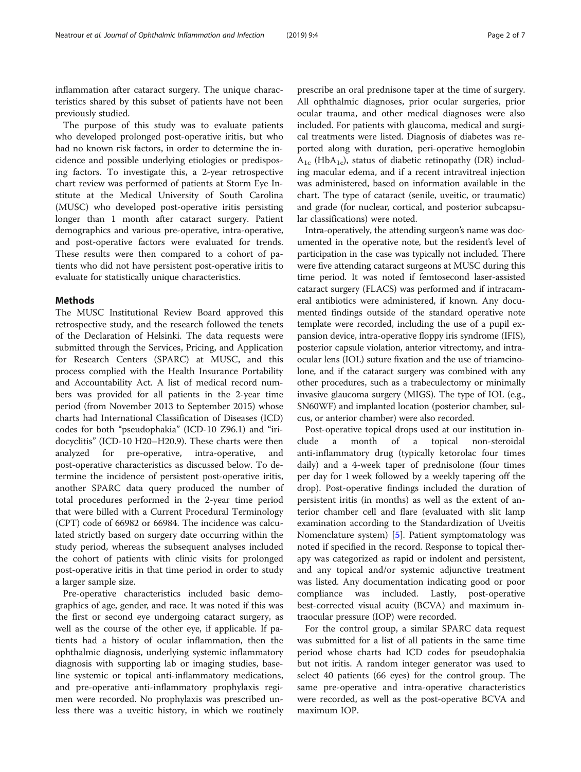inflammation after cataract surgery. The unique characteristics shared by this subset of patients have not been previously studied.

The purpose of this study was to evaluate patients who developed prolonged post-operative iritis, but who had no known risk factors, in order to determine the incidence and possible underlying etiologies or predisposing factors. To investigate this, a 2-year retrospective chart review was performed of patients at Storm Eye Institute at the Medical University of South Carolina (MUSC) who developed post-operative iritis persisting longer than 1 month after cataract surgery. Patient demographics and various pre-operative, intra-operative, and post-operative factors were evaluated for trends. These results were then compared to a cohort of patients who did not have persistent post-operative iritis to evaluate for statistically unique characteristics.

#### Methods

The MUSC Institutional Review Board approved this retrospective study, and the research followed the tenets of the Declaration of Helsinki. The data requests were submitted through the Services, Pricing, and Application for Research Centers (SPARC) at MUSC, and this process complied with the Health Insurance Portability and Accountability Act. A list of medical record numbers was provided for all patients in the 2-year time period (from November 2013 to September 2015) whose charts had International Classification of Diseases (ICD) codes for both "pseudophakia" (ICD-10 Z96.1) and "iridocyclitis" (ICD-10 H20–H20.9). These charts were then analyzed for pre-operative, intra-operative, and post-operative characteristics as discussed below. To determine the incidence of persistent post-operative iritis, another SPARC data query produced the number of total procedures performed in the 2-year time period that were billed with a Current Procedural Terminology (CPT) code of 66982 or 66984. The incidence was calculated strictly based on surgery date occurring within the study period, whereas the subsequent analyses included the cohort of patients with clinic visits for prolonged post-operative iritis in that time period in order to study a larger sample size.

Pre-operative characteristics included basic demographics of age, gender, and race. It was noted if this was the first or second eye undergoing cataract surgery, as well as the course of the other eye, if applicable. If patients had a history of ocular inflammation, then the ophthalmic diagnosis, underlying systemic inflammatory diagnosis with supporting lab or imaging studies, baseline systemic or topical anti-inflammatory medications, and pre-operative anti-inflammatory prophylaxis regimen were recorded. No prophylaxis was prescribed unless there was a uveitic history, in which we routinely prescribe an oral prednisone taper at the time of surgery. All ophthalmic diagnoses, prior ocular surgeries, prior ocular trauma, and other medical diagnoses were also included. For patients with glaucoma, medical and surgical treatments were listed. Diagnosis of diabetes was reported along with duration, peri-operative hemoglobin  $A_{1c}$  (Hb $A_{1c}$ ), status of diabetic retinopathy (DR) including macular edema, and if a recent intravitreal injection was administered, based on information available in the chart. The type of cataract (senile, uveitic, or traumatic) and grade (for nuclear, cortical, and posterior subcapsular classifications) were noted.

Intra-operatively, the attending surgeon's name was documented in the operative note, but the resident's level of participation in the case was typically not included. There were five attending cataract surgeons at MUSC during this time period. It was noted if femtosecond laser-assisted cataract surgery (FLACS) was performed and if intracameral antibiotics were administered, if known. Any documented findings outside of the standard operative note template were recorded, including the use of a pupil expansion device, intra-operative floppy iris syndrome (IFIS), posterior capsule violation, anterior vitrectomy, and intraocular lens (IOL) suture fixation and the use of triamcinolone, and if the cataract surgery was combined with any other procedures, such as a trabeculectomy or minimally invasive glaucoma surgery (MIGS). The type of IOL (e.g., SN60WF) and implanted location (posterior chamber, sulcus, or anterior chamber) were also recorded.

Post-operative topical drops used at our institution include a month of a topical non-steroidal anti-inflammatory drug (typically ketorolac four times daily) and a 4-week taper of prednisolone (four times per day for 1 week followed by a weekly tapering off the drop). Post-operative findings included the duration of persistent iritis (in months) as well as the extent of anterior chamber cell and flare (evaluated with slit lamp examination according to the Standardization of Uveitis Nomenclature system) [\[5](#page-6-0)]. Patient symptomatology was noted if specified in the record. Response to topical therapy was categorized as rapid or indolent and persistent, and any topical and/or systemic adjunctive treatment was listed. Any documentation indicating good or poor compliance was included. Lastly, post-operative best-corrected visual acuity (BCVA) and maximum intraocular pressure (IOP) were recorded.

For the control group, a similar SPARC data request was submitted for a list of all patients in the same time period whose charts had ICD codes for pseudophakia but not iritis. A random integer generator was used to select 40 patients (66 eyes) for the control group. The same pre-operative and intra-operative characteristics were recorded, as well as the post-operative BCVA and maximum IOP.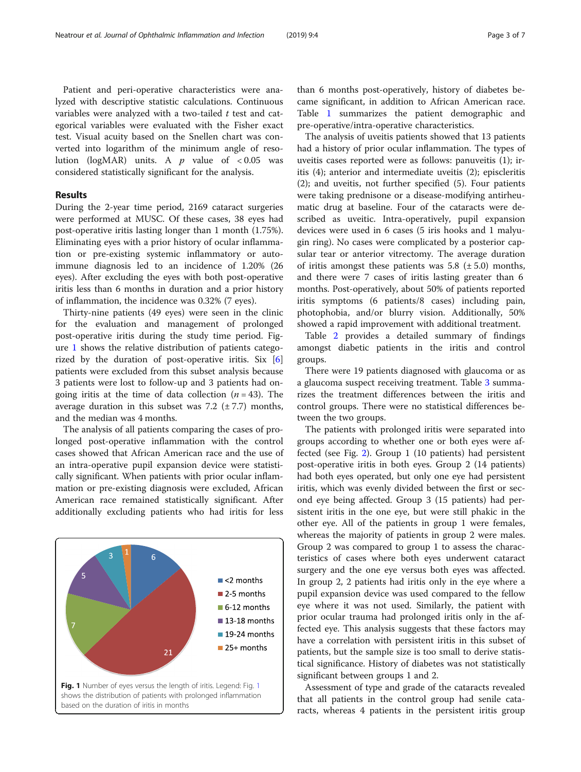Patient and peri-operative characteristics were analyzed with descriptive statistic calculations. Continuous variables were analyzed with a two-tailed  $t$  test and categorical variables were evaluated with the Fisher exact test. Visual acuity based on the Snellen chart was converted into logarithm of the minimum angle of resolution (logMAR) units. A  $p$  value of <0.05 was considered statistically significant for the analysis.

#### Results

During the 2-year time period, 2169 cataract surgeries were performed at MUSC. Of these cases, 38 eyes had post-operative iritis lasting longer than 1 month (1.75%). Eliminating eyes with a prior history of ocular inflammation or pre-existing systemic inflammatory or autoimmune diagnosis led to an incidence of 1.20% (26 eyes). After excluding the eyes with both post-operative iritis less than 6 months in duration and a prior history of inflammation, the incidence was 0.32% (7 eyes).

Thirty-nine patients (49 eyes) were seen in the clinic for the evaluation and management of prolonged post-operative iritis during the study time period. Figure 1 shows the relative distribution of patients categorized by the duration of post-operative iritis. Six [\[6](#page-6-0)] patients were excluded from this subset analysis because 3 patients were lost to follow-up and 3 patients had ongoing iritis at the time of data collection  $(n = 43)$ . The average duration in this subset was  $7.2$  ( $\pm$  7.7) months, and the median was 4 months.

The analysis of all patients comparing the cases of prolonged post-operative inflammation with the control cases showed that African American race and the use of an intra-operative pupil expansion device were statistically significant. When patients with prior ocular inflammation or pre-existing diagnosis were excluded, African American race remained statistically significant. After additionally excluding patients who had iritis for less



than 6 months post-operatively, history of diabetes became significant, in addition to African American race. Table [1](#page-3-0) summarizes the patient demographic and pre-operative/intra-operative characteristics.

The analysis of uveitis patients showed that 13 patients had a history of prior ocular inflammation. The types of uveitis cases reported were as follows: panuveitis (1); iritis (4); anterior and intermediate uveitis (2); episcleritis (2); and uveitis, not further specified (5). Four patients were taking prednisone or a disease-modifying antirheumatic drug at baseline. Four of the cataracts were described as uveitic. Intra-operatively, pupil expansion devices were used in 6 cases (5 iris hooks and 1 malyugin ring). No cases were complicated by a posterior capsular tear or anterior vitrectomy. The average duration of iritis amongst these patients was  $5.8$  ( $\pm$  5.0) months, and there were 7 cases of iritis lasting greater than 6 months. Post-operatively, about 50% of patients reported iritis symptoms (6 patients/8 cases) including pain, photophobia, and/or blurry vision. Additionally, 50% showed a rapid improvement with additional treatment.

Table [2](#page-3-0) provides a detailed summary of findings amongst diabetic patients in the iritis and control groups.

There were 19 patients diagnosed with glaucoma or as a glaucoma suspect receiving treatment. Table [3](#page-4-0) summarizes the treatment differences between the iritis and control groups. There were no statistical differences between the two groups.

The patients with prolonged iritis were separated into groups according to whether one or both eyes were affected (see Fig. [2\)](#page-4-0). Group 1 (10 patients) had persistent post-operative iritis in both eyes. Group 2 (14 patients) had both eyes operated, but only one eye had persistent iritis, which was evenly divided between the first or second eye being affected. Group 3 (15 patients) had persistent iritis in the one eye, but were still phakic in the other eye. All of the patients in group 1 were females, whereas the majority of patients in group 2 were males. Group 2 was compared to group 1 to assess the characteristics of cases where both eyes underwent cataract surgery and the one eye versus both eyes was affected. In group 2, 2 patients had iritis only in the eye where a pupil expansion device was used compared to the fellow eye where it was not used. Similarly, the patient with prior ocular trauma had prolonged iritis only in the affected eye. This analysis suggests that these factors may have a correlation with persistent iritis in this subset of patients, but the sample size is too small to derive statistical significance. History of diabetes was not statistically significant between groups 1 and 2.

Assessment of type and grade of the cataracts revealed that all patients in the control group had senile cataracts, whereas 4 patients in the persistent iritis group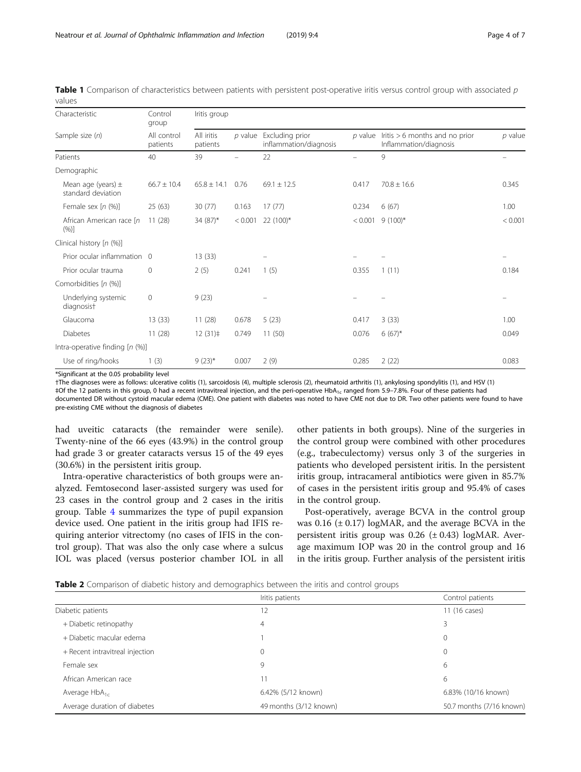| Characteristic                               | Control<br>group        | Iritis group           |           |                                           |                          |                                                            |           |  |
|----------------------------------------------|-------------------------|------------------------|-----------|-------------------------------------------|--------------------------|------------------------------------------------------------|-----------|--|
| Sample size (n)                              | All control<br>patients | All iritis<br>patients | $p$ value | Excluding prior<br>inflammation/diagnosis | $p$ value                | Iritis $> 6$ months and no prior<br>Inflammation/diagnosis | $p$ value |  |
| Patients                                     | 40                      | 39                     |           | 22                                        | $\overline{\phantom{0}}$ | 9                                                          |           |  |
| Demographic                                  |                         |                        |           |                                           |                          |                                                            |           |  |
| Mean age (years) $\pm$<br>standard deviation | $66.7 \pm 10.4$         | $65.8 \pm 14.1$        | 0.76      | $69.1 \pm 12.5$                           | 0.417                    | $70.8 \pm 16.6$                                            | 0.345     |  |
| Female sex $[n (%)]$                         | 25(63)                  | 30(77)                 | 0.163     | 17(77)                                    | 0.234                    | 6(67)                                                      | 1.00      |  |
| African American race [n]<br>(%)]            | 11(28)                  | 34 (87)*               | < 0.001   | 22 (100)*                                 | < 0.001                  | $9(100)*$                                                  | < 0.001   |  |
| Clinical history [n (%)]                     |                         |                        |           |                                           |                          |                                                            |           |  |
| Prior ocular inflammation                    | $\overline{0}$          | 13(33)                 |           |                                           |                          |                                                            | -         |  |
| Prior ocular trauma                          | 0                       | 2(5)                   | 0.241     | 1(5)                                      | 0.355                    | 1(11)                                                      | 0.184     |  |
| Comorbidities [n (%)]                        |                         |                        |           |                                           |                          |                                                            |           |  |
| Underlying systemic<br>diagnosist            | $\mathbf 0$             | 9(23)                  |           |                                           |                          |                                                            |           |  |
| Glaucoma                                     | 13(33)                  | 11(28)                 | 0.678     | 5(23)                                     | 0.417                    | 3(33)                                                      | 1.00      |  |
| <b>Diabetes</b>                              | 11(28)                  | 12(31)                 | 0.749     | 11(50)                                    | 0.076                    | $6(67)*$                                                   | 0.049     |  |
| Intra-operative finding [n (%)]              |                         |                        |           |                                           |                          |                                                            |           |  |
| Use of ring/hooks                            | 1(3)                    | $9(23)*$               | 0.007     | 2(9)                                      | 0.285                    | 2(22)                                                      | 0.083     |  |

<span id="page-3-0"></span>Table 1 Comparison of characteristics between patients with persistent post-operative iritis versus control group with associated p values

\*Significant at the 0.05 probability level

†The diagnoses were as follows: ulcerative colitis (1), sarcoidosis (4), multiple sclerosis (2), rheumatoid arthritis (1), ankylosing spondylitis (1), and HSV (1) ‡Of the 12 patients in this group, 0 had a recent intravitreal injection, and the peri-operative HbA<sub>1c</sub> ranged from 5.9–7.8%. Four of these patients had documented DR without cystoid macular edema (CME). One patient with diabetes was noted to have CME not due to DR. Two other patients were found to have pre-existing CME without the diagnosis of diabetes

had uveitic cataracts (the remainder were senile). Twenty-nine of the 66 eyes (43.9%) in the control group had grade 3 or greater cataracts versus 15 of the 49 eyes (30.6%) in the persistent iritis group.

Intra-operative characteristics of both groups were analyzed. Femtosecond laser-assisted surgery was used for 23 cases in the control group and 2 cases in the iritis group. Table [4](#page-5-0) summarizes the type of pupil expansion device used. One patient in the iritis group had IFIS requiring anterior vitrectomy (no cases of IFIS in the control group). That was also the only case where a sulcus IOL was placed (versus posterior chamber IOL in all other patients in both groups). Nine of the surgeries in the control group were combined with other procedures (e.g., trabeculectomy) versus only 3 of the surgeries in patients who developed persistent iritis. In the persistent iritis group, intracameral antibiotics were given in 85.7% of cases in the persistent iritis group and 95.4% of cases in the control group.

Post-operatively, average BCVA in the control group was  $0.16$  ( $\pm$  0.17) logMAR, and the average BCVA in the persistent iritis group was  $0.26$  ( $\pm$  0.43) logMAR. Average maximum IOP was 20 in the control group and 16 in the iritis group. Further analysis of the persistent iritis

|  |  |  | Table 2 Comparison of diabetic history and demographics between the iritis and control groups |  |  |  |
|--|--|--|-----------------------------------------------------------------------------------------------|--|--|--|
|  |  |  |                                                                                               |  |  |  |

|                                 | Iritis patients        | Control patients         |
|---------------------------------|------------------------|--------------------------|
| Diabetic patients               | 12                     | 11 (16 cases)            |
| + Diabetic retinopathy          | 4                      | 3                        |
| + Diabetic macular edema        |                        | $\mathbf{0}$             |
| + Recent intravitreal injection | $\mathbf{0}$           | $\mathbf{0}$             |
| Female sex                      | 9                      | 6                        |
| African American race           | 11                     | 6                        |
| Average $HbA_{1c}$              | 6.42% (5/12 known)     | 6.83% (10/16 known)      |
| Average duration of diabetes    | 49 months (3/12 known) | 50.7 months (7/16 known) |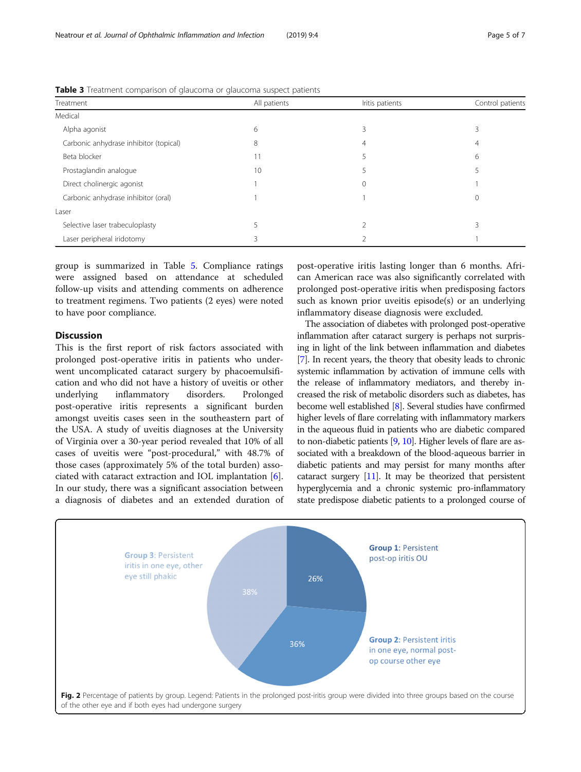| Treatment                              | All patients | Iritis patients | Control patients |
|----------------------------------------|--------------|-----------------|------------------|
| Medical                                |              |                 |                  |
| Alpha agonist                          | 6            |                 |                  |
| Carbonic anhydrase inhibitor (topical) | 8            | 4               | 4                |
| Beta blocker                           | 11           |                 | 6                |
| Prostaglandin analogue                 | 10           |                 |                  |
| Direct cholinergic agonist             |              | $\Omega$        |                  |
| Carbonic anhydrase inhibitor (oral)    |              |                 | 0                |
| Laser                                  |              |                 |                  |
| Selective laser trabeculoplasty        |              |                 |                  |
| Laser peripheral iridotomy             | ζ            |                 |                  |

<span id="page-4-0"></span>Table 3 Treatment comparison of glaucoma or glaucoma suspect patients

group is summarized in Table [5](#page-5-0). Compliance ratings were assigned based on attendance at scheduled follow-up visits and attending comments on adherence to treatment regimens. Two patients (2 eyes) were noted to have poor compliance.

### **Discussion**

This is the first report of risk factors associated with prolonged post-operative iritis in patients who underwent uncomplicated cataract surgery by phacoemulsification and who did not have a history of uveitis or other underlying inflammatory disorders. Prolonged post-operative iritis represents a significant burden amongst uveitis cases seen in the southeastern part of the USA. A study of uveitis diagnoses at the University of Virginia over a 30-year period revealed that 10% of all cases of uveitis were "post-procedural," with 48.7% of those cases (approximately 5% of the total burden) associated with cataract extraction and IOL implantation [\[6](#page-6-0)]. In our study, there was a significant association between a diagnosis of diabetes and an extended duration of

post-operative iritis lasting longer than 6 months. African American race was also significantly correlated with prolonged post-operative iritis when predisposing factors such as known prior uveitis episode(s) or an underlying inflammatory disease diagnosis were excluded.

The association of diabetes with prolonged post-operative inflammation after cataract surgery is perhaps not surprising in light of the link between inflammation and diabetes [[7](#page-6-0)]. In recent years, the theory that obesity leads to chronic systemic inflammation by activation of immune cells with the release of inflammatory mediators, and thereby increased the risk of metabolic disorders such as diabetes, has become well established [\[8\]](#page-6-0). Several studies have confirmed higher levels of flare correlating with inflammatory markers in the aqueous fluid in patients who are diabetic compared to non-diabetic patients [\[9,](#page-6-0) [10\]](#page-6-0). Higher levels of flare are associated with a breakdown of the blood-aqueous barrier in diabetic patients and may persist for many months after cataract surgery [\[11](#page-6-0)]. It may be theorized that persistent hyperglycemia and a chronic systemic pro-inflammatory state predispose diabetic patients to a prolonged course of

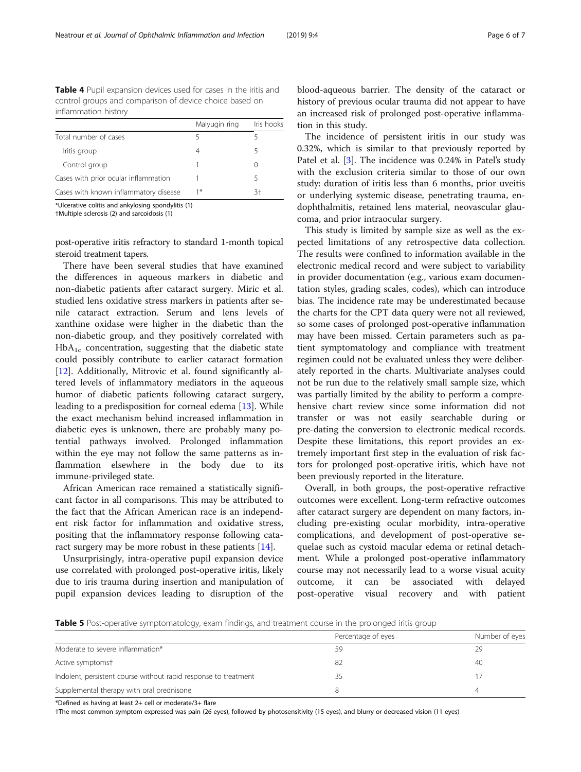<span id="page-5-0"></span>Table 4 Pupil expansion devices used for cases in the iritis and control groups and comparison of device choice based on inflammation history

|                                       | Malyugin ring | Iris hooks |
|---------------------------------------|---------------|------------|
| Total number of cases                 |               |            |
| Iritis group                          | 4             | 5          |
| Control group                         |               |            |
| Cases with prior ocular inflammation  |               | 5          |
| Cases with known inflammatory disease | 1*            | $3+$       |

\*Ulcerative colitis and ankylosing spondylitis (1)

†Multiple sclerosis (2) and sarcoidosis (1)

post-operative iritis refractory to standard 1-month topical steroid treatment tapers.

There have been several studies that have examined the differences in aqueous markers in diabetic and non-diabetic patients after cataract surgery. Miric et al. studied lens oxidative stress markers in patients after senile cataract extraction. Serum and lens levels of xanthine oxidase were higher in the diabetic than the non-diabetic group, and they positively correlated with  $HbA_{1c}$  concentration, suggesting that the diabetic state could possibly contribute to earlier cataract formation [[12\]](#page-6-0). Additionally, Mitrovic et al. found significantly altered levels of inflammatory mediators in the aqueous humor of diabetic patients following cataract surgery, leading to a predisposition for corneal edema [[13\]](#page-6-0). While the exact mechanism behind increased inflammation in diabetic eyes is unknown, there are probably many potential pathways involved. Prolonged inflammation within the eye may not follow the same patterns as inflammation elsewhere in the body due to its immune-privileged state.

African American race remained a statistically significant factor in all comparisons. This may be attributed to the fact that the African American race is an independent risk factor for inflammation and oxidative stress, positing that the inflammatory response following cata-ract surgery may be more robust in these patients [\[14](#page-6-0)].

Unsurprisingly, intra-operative pupil expansion device use correlated with prolonged post-operative iritis, likely due to iris trauma during insertion and manipulation of pupil expansion devices leading to disruption of the blood-aqueous barrier. The density of the cataract or history of previous ocular trauma did not appear to have an increased risk of prolonged post-operative inflammation in this study.

The incidence of persistent iritis in our study was 0.32%, which is similar to that previously reported by Patel et al. [\[3\]](#page-6-0). The incidence was 0.24% in Patel's study with the exclusion criteria similar to those of our own study: duration of iritis less than 6 months, prior uveitis or underlying systemic disease, penetrating trauma, endophthalmitis, retained lens material, neovascular glaucoma, and prior intraocular surgery.

This study is limited by sample size as well as the expected limitations of any retrospective data collection. The results were confined to information available in the electronic medical record and were subject to variability in provider documentation (e.g., various exam documentation styles, grading scales, codes), which can introduce bias. The incidence rate may be underestimated because the charts for the CPT data query were not all reviewed, so some cases of prolonged post-operative inflammation may have been missed. Certain parameters such as patient symptomatology and compliance with treatment regimen could not be evaluated unless they were deliberately reported in the charts. Multivariate analyses could not be run due to the relatively small sample size, which was partially limited by the ability to perform a comprehensive chart review since some information did not transfer or was not easily searchable during or pre-dating the conversion to electronic medical records. Despite these limitations, this report provides an extremely important first step in the evaluation of risk factors for prolonged post-operative iritis, which have not been previously reported in the literature.

Overall, in both groups, the post-operative refractive outcomes were excellent. Long-term refractive outcomes after cataract surgery are dependent on many factors, including pre-existing ocular morbidity, intra-operative complications, and development of post-operative sequelae such as cystoid macular edema or retinal detachment. While a prolonged post-operative inflammatory course may not necessarily lead to a worse visual acuity outcome, it can be associated with delayed post-operative visual recovery and with patient

Table 5 Post-operative symptomatology, exam findings, and treatment course in the prolonged iritis group

|                                                                 | Percentage of eyes | Number of eyes |
|-----------------------------------------------------------------|--------------------|----------------|
| Moderate to severe inflammation*                                | 59                 | 29             |
| Active symptomst                                                | 82                 | 40             |
| Indolent, persistent course without rapid response to treatment |                    |                |
| Supplemental therapy with oral prednisone                       |                    |                |

\*Defined as having at least 2+ cell or moderate/3+ flare

†The most common symptom expressed was pain (26 eyes), followed by photosensitivity (15 eyes), and blurry or decreased vision (11 eyes)